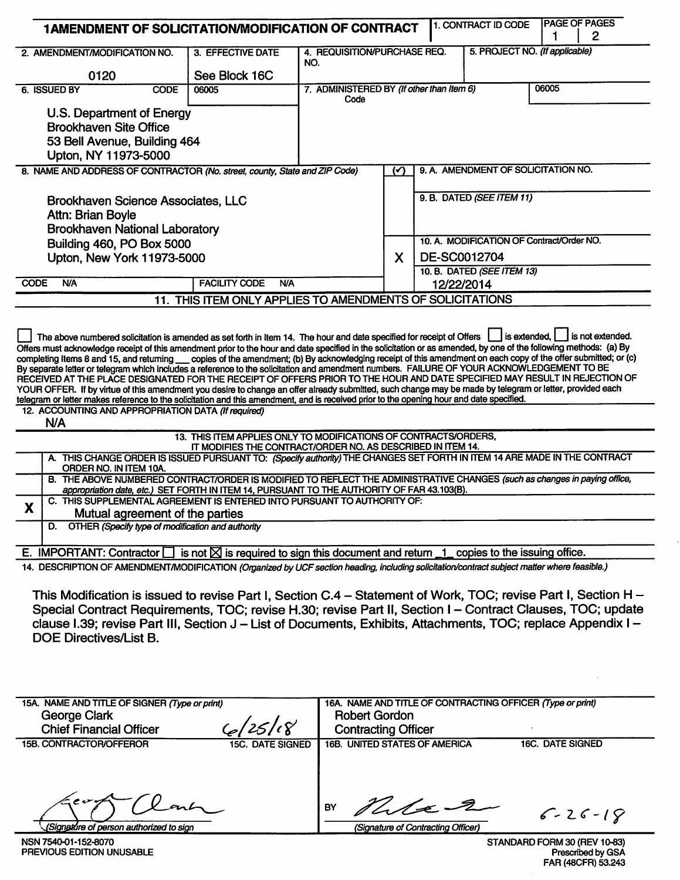| 1AMENDMENT OF SOLICITATION/MODIFICATION OF CONTRACT                                                                                                                                                                                                                                                                                                                                                                                                                                                                                                                                                                                                                                                                                                                                                                                                                                                                                                                                                                                                                                                                                                                                                                                                                                                                                                                                                                                                                                                                                  |                                                                                                                                 |                                           |               |                                  | 1. CONTRACT ID CODE                                        | 1                       | <b>PAGE OF PAGES</b><br>$\overline{2}$ |
|--------------------------------------------------------------------------------------------------------------------------------------------------------------------------------------------------------------------------------------------------------------------------------------------------------------------------------------------------------------------------------------------------------------------------------------------------------------------------------------------------------------------------------------------------------------------------------------------------------------------------------------------------------------------------------------------------------------------------------------------------------------------------------------------------------------------------------------------------------------------------------------------------------------------------------------------------------------------------------------------------------------------------------------------------------------------------------------------------------------------------------------------------------------------------------------------------------------------------------------------------------------------------------------------------------------------------------------------------------------------------------------------------------------------------------------------------------------------------------------------------------------------------------------|---------------------------------------------------------------------------------------------------------------------------------|-------------------------------------------|---------------|----------------------------------|------------------------------------------------------------|-------------------------|----------------------------------------|
| 2. AMENDMENT/MODIFICATION NO.                                                                                                                                                                                                                                                                                                                                                                                                                                                                                                                                                                                                                                                                                                                                                                                                                                                                                                                                                                                                                                                                                                                                                                                                                                                                                                                                                                                                                                                                                                        | 3. EFFECTIVE DATE                                                                                                               | 4. REQUISITION/PURCHASE REQ.              |               |                                  | 5. PROJECT NO. (If applicable)                             |                         |                                        |
|                                                                                                                                                                                                                                                                                                                                                                                                                                                                                                                                                                                                                                                                                                                                                                                                                                                                                                                                                                                                                                                                                                                                                                                                                                                                                                                                                                                                                                                                                                                                      |                                                                                                                                 | NO.                                       |               |                                  |                                                            |                         |                                        |
| 0120<br><b>CODE</b><br>6. ISSUED BY                                                                                                                                                                                                                                                                                                                                                                                                                                                                                                                                                                                                                                                                                                                                                                                                                                                                                                                                                                                                                                                                                                                                                                                                                                                                                                                                                                                                                                                                                                  | See Block 16C<br>06005                                                                                                          | 7. ADMINISTERED BY (If other than Item 6) |               |                                  |                                                            | 06005                   |                                        |
|                                                                                                                                                                                                                                                                                                                                                                                                                                                                                                                                                                                                                                                                                                                                                                                                                                                                                                                                                                                                                                                                                                                                                                                                                                                                                                                                                                                                                                                                                                                                      |                                                                                                                                 | Code                                      |               |                                  |                                                            |                         |                                        |
| U.S. Department of Energy                                                                                                                                                                                                                                                                                                                                                                                                                                                                                                                                                                                                                                                                                                                                                                                                                                                                                                                                                                                                                                                                                                                                                                                                                                                                                                                                                                                                                                                                                                            |                                                                                                                                 |                                           |               |                                  |                                                            |                         |                                        |
| <b>Brookhaven Site Office</b>                                                                                                                                                                                                                                                                                                                                                                                                                                                                                                                                                                                                                                                                                                                                                                                                                                                                                                                                                                                                                                                                                                                                                                                                                                                                                                                                                                                                                                                                                                        |                                                                                                                                 |                                           |               |                                  |                                                            |                         |                                        |
| 53 Bell Avenue, Building 464                                                                                                                                                                                                                                                                                                                                                                                                                                                                                                                                                                                                                                                                                                                                                                                                                                                                                                                                                                                                                                                                                                                                                                                                                                                                                                                                                                                                                                                                                                         |                                                                                                                                 |                                           |               |                                  |                                                            |                         |                                        |
| Upton, NY 11973-5000                                                                                                                                                                                                                                                                                                                                                                                                                                                                                                                                                                                                                                                                                                                                                                                                                                                                                                                                                                                                                                                                                                                                                                                                                                                                                                                                                                                                                                                                                                                 |                                                                                                                                 |                                           |               |                                  |                                                            |                         |                                        |
| 8. NAME AND ADDRESS OF CONTRACTOR (No. street, county, State and ZIP Code)                                                                                                                                                                                                                                                                                                                                                                                                                                                                                                                                                                                                                                                                                                                                                                                                                                                                                                                                                                                                                                                                                                                                                                                                                                                                                                                                                                                                                                                           |                                                                                                                                 |                                           | $\mathcal{L}$ |                                  | 9. A. AMENDMENT OF SOLICITATION NO.                        |                         |                                        |
|                                                                                                                                                                                                                                                                                                                                                                                                                                                                                                                                                                                                                                                                                                                                                                                                                                                                                                                                                                                                                                                                                                                                                                                                                                                                                                                                                                                                                                                                                                                                      |                                                                                                                                 |                                           |               |                                  | 9. B. DATED (SEE ITEM 11)                                  |                         |                                        |
| <b>Brookhaven Science Associates, LLC</b>                                                                                                                                                                                                                                                                                                                                                                                                                                                                                                                                                                                                                                                                                                                                                                                                                                                                                                                                                                                                                                                                                                                                                                                                                                                                                                                                                                                                                                                                                            |                                                                                                                                 |                                           |               |                                  |                                                            |                         |                                        |
| Attn: Brian Boyle<br><b>Brookhaven National Laboratory</b>                                                                                                                                                                                                                                                                                                                                                                                                                                                                                                                                                                                                                                                                                                                                                                                                                                                                                                                                                                                                                                                                                                                                                                                                                                                                                                                                                                                                                                                                           |                                                                                                                                 |                                           |               |                                  |                                                            |                         |                                        |
| Building 460, PO Box 5000                                                                                                                                                                                                                                                                                                                                                                                                                                                                                                                                                                                                                                                                                                                                                                                                                                                                                                                                                                                                                                                                                                                                                                                                                                                                                                                                                                                                                                                                                                            |                                                                                                                                 |                                           |               |                                  | 10. A. MODIFICATION OF Contract/Order NO.                  |                         |                                        |
| Upton, New York 11973-5000                                                                                                                                                                                                                                                                                                                                                                                                                                                                                                                                                                                                                                                                                                                                                                                                                                                                                                                                                                                                                                                                                                                                                                                                                                                                                                                                                                                                                                                                                                           |                                                                                                                                 |                                           | X.            | DE-SC0012704                     |                                                            |                         |                                        |
|                                                                                                                                                                                                                                                                                                                                                                                                                                                                                                                                                                                                                                                                                                                                                                                                                                                                                                                                                                                                                                                                                                                                                                                                                                                                                                                                                                                                                                                                                                                                      |                                                                                                                                 |                                           |               |                                  | 10. B. DATED (SEE ITEM 13)                                 |                         |                                        |
| <b>CODE</b><br><b>N/A</b>                                                                                                                                                                                                                                                                                                                                                                                                                                                                                                                                                                                                                                                                                                                                                                                                                                                                                                                                                                                                                                                                                                                                                                                                                                                                                                                                                                                                                                                                                                            | <b>FACILITY CODE</b><br><b>N/A</b>                                                                                              |                                           |               | 12/22/2014                       |                                                            |                         |                                        |
|                                                                                                                                                                                                                                                                                                                                                                                                                                                                                                                                                                                                                                                                                                                                                                                                                                                                                                                                                                                                                                                                                                                                                                                                                                                                                                                                                                                                                                                                                                                                      | 11. THIS ITEM ONLY APPLIES TO AMENDMENTS OF SOLICITATIONS                                                                       |                                           |               |                                  |                                                            |                         |                                        |
| The above numbered solicitation is amended as set forth in Item 14. The hour and date specified for receipt of Offers $\Box$ is extended, $\Box$<br>Offers must acknowledge receipt of this amendment prior to the hour and date specified in the solicitation or as amended, by one of the following methods: (a) By<br>completing Items 8 and 15, and returning __ copies of the amendment; (b) By acknowledging receipt of this amendment on each copy of the offer submitted; or (c)<br>By separate letter or telegram which includes a reference to the solicitation and amendment numbers. FAILURE OF YOUR ACKNOWLEDGEMENT TO BE<br>RECEIVED AT THE PLACE DESIGNATED FOR THE RECEIPT OF OFFERS PRIOR TO THE HOUR AND DATE SPECIFIED MAY RESULT IN REJECTION OF<br>YOUR OFFER. If by virtue of this amendment you desire to change an offer already submitted, such change may be made by telegram or letter, provided each<br>telegram or letter makes reference to the solicitation and this amendment, and is received prior to the opening hour and date specified.<br>12. ACCOUNTING AND APPROPRIATION DATA (If required)<br><b>N/A</b><br>A. THIS CHANGE ORDER IS ISSUED PURSUANT TO: (Specify authority) THE CHANGES SET FORTH IN ITEM 14 ARE MADE IN THE CONTRACT<br>ORDER NO. IN ITEM 10A.<br>B. THE ABOVE NUMBERED CONTRACT/ORDER IS MODIFIED TO REFLECT THE ADMINISTRATIVE CHANGES (such as changes in paying office,<br>appropriation date, etc.) SET FORTH IN ITEM 14, PURSUANT TO THE AUTHORITY OF FAR 43.103(B). | 13. THIS ITEM APPLIES ONLY TO MODIFICATIONS OF CONTRACTS/ORDERS,<br>IT MODIFIES THE CONTRACT/ORDER NO. AS DESCRIBED IN ITEM 14. |                                           |               |                                  |                                                            |                         |                                        |
| C. THIS SUPPLEMENTAL AGREEMENT IS ENTERED INTO PURSUANT TO AUTHORITY OF:<br>X<br>Mutual agreement of the parties                                                                                                                                                                                                                                                                                                                                                                                                                                                                                                                                                                                                                                                                                                                                                                                                                                                                                                                                                                                                                                                                                                                                                                                                                                                                                                                                                                                                                     |                                                                                                                                 |                                           |               |                                  |                                                            |                         |                                        |
| D. OTHER (Specify type of modification and authority                                                                                                                                                                                                                                                                                                                                                                                                                                                                                                                                                                                                                                                                                                                                                                                                                                                                                                                                                                                                                                                                                                                                                                                                                                                                                                                                                                                                                                                                                 |                                                                                                                                 |                                           |               |                                  |                                                            |                         |                                        |
| E. IMPORTANT: Contractor $\Box$ is not $\boxtimes$ is required to sign this document and return $\Box$ copies to the issuing office.                                                                                                                                                                                                                                                                                                                                                                                                                                                                                                                                                                                                                                                                                                                                                                                                                                                                                                                                                                                                                                                                                                                                                                                                                                                                                                                                                                                                 |                                                                                                                                 |                                           |               |                                  |                                                            |                         |                                        |
| 14. DESCRIPTION OF AMENDMENT/MODIFICATION (Organized by UCF section heading, including solicitation/contract subject matter where feasible.)                                                                                                                                                                                                                                                                                                                                                                                                                                                                                                                                                                                                                                                                                                                                                                                                                                                                                                                                                                                                                                                                                                                                                                                                                                                                                                                                                                                         |                                                                                                                                 |                                           |               |                                  |                                                            |                         |                                        |
| This Modification is issued to revise Part I, Section C.4 – Statement of Work, TOC; revise Part I, Section H –<br>Special Contract Requirements, TOC; revise H.30; revise Part II, Section I – Contract Clauses, TOC; update<br>clause I.39; revise Part III, Section J – List of Documents, Exhibits, Attachments, TOC; replace Appendix I –<br><b>DOE Directives/List B.</b>                                                                                                                                                                                                                                                                                                                                                                                                                                                                                                                                                                                                                                                                                                                                                                                                                                                                                                                                                                                                                                                                                                                                                       |                                                                                                                                 |                                           |               |                                  |                                                            |                         |                                        |
| 15A. NAME AND TITLE OF SIGNER (Type or print)                                                                                                                                                                                                                                                                                                                                                                                                                                                                                                                                                                                                                                                                                                                                                                                                                                                                                                                                                                                                                                                                                                                                                                                                                                                                                                                                                                                                                                                                                        |                                                                                                                                 |                                           |               |                                  | 16A. NAME AND TITLE OF CONTRACTING OFFICER (Type or print) |                         |                                        |
| George Clark                                                                                                                                                                                                                                                                                                                                                                                                                                                                                                                                                                                                                                                                                                                                                                                                                                                                                                                                                                                                                                                                                                                                                                                                                                                                                                                                                                                                                                                                                                                         |                                                                                                                                 | <b>Robert Gordon</b>                      |               |                                  |                                                            |                         |                                        |
| <b>Chief Financial Officer</b>                                                                                                                                                                                                                                                                                                                                                                                                                                                                                                                                                                                                                                                                                                                                                                                                                                                                                                                                                                                                                                                                                                                                                                                                                                                                                                                                                                                                                                                                                                       | 6/25/18                                                                                                                         | <b>Contracting Officer</b>                |               |                                  |                                                            |                         |                                        |
| <b>15B. CONTRACTOR/OFFEROR</b>                                                                                                                                                                                                                                                                                                                                                                                                                                                                                                                                                                                                                                                                                                                                                                                                                                                                                                                                                                                                                                                                                                                                                                                                                                                                                                                                                                                                                                                                                                       | 15C. DATE SIGNED                                                                                                                | <b>16B. UNITED STATES OF AMERICA</b>      |               |                                  |                                                            | <b>16C. DATE SIGNED</b> |                                        |
|                                                                                                                                                                                                                                                                                                                                                                                                                                                                                                                                                                                                                                                                                                                                                                                                                                                                                                                                                                                                                                                                                                                                                                                                                                                                                                                                                                                                                                                                                                                                      |                                                                                                                                 |                                           |               | $\mathcal{U}_{\mathcal{A}}$ /2 2 |                                                            |                         | $C - 76 - 10$                          |

(Signature of Contracting Officer)

(Signature of person authorized to sign NSN 7540-01-152-8070<br>PREVIOUS EDITION UNUSABLE

 $6 - 26 - 18$ 

STANDARD FORM 30 (REV 10-83)<br>Prescribed by GSA<br>FAR (48CFR) 53.243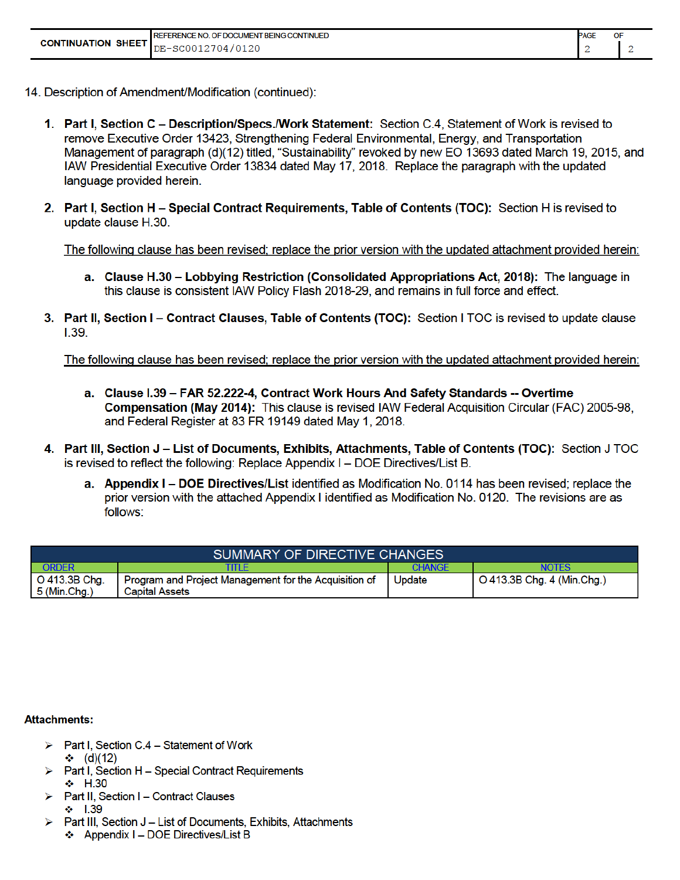|                           | <b>PAGE</b><br><b>REFERENCE NO. OF DOCUMENT BEING CONTINUED</b> |  |  |  |
|---------------------------|-----------------------------------------------------------------|--|--|--|
| <b>CONTINUATION SHEET</b> | DE-SC0012704/0120                                               |  |  |  |

- 14. Description of Amendment/Modification (continued):
	- 1. Part I, Section C Description/Specs./Work Statement: Section C.4, Statement of Work is revised to remove Executive Order 13423, Strengthening Federal Environmental, Energy, and Transportation Management of paragraph (d)(12) titled, "Sustainability" revoked by new EO 13693 dated March 19, 2015, and IAW Presidential Executive Order 13834 dated May 17, 2018. Replace the paragraph with the updated language provided herein.
	- 2. Part I, Section H Special Contract Requirements, Table of Contents (TOC): Section H is revised to update clause H.30.

The following clause has been revised; replace the prior version with the updated attachment provided herein:

- a. Clause H.30 Lobbying Restriction (Consolidated Appropriations Act, 2018): The language in this clause is consistent IAW Policy Flash 2018-29, and remains in full force and effect.
- 3. Part II, Section I Contract Clauses, Table of Contents (TOC): Section I TOC is revised to update clause  $1.39.$

The following clause has been revised; replace the prior version with the updated attachment provided herein:

- a. Clause I.39 FAR 52.222-4, Contract Work Hours And Safety Standards -- Overtime Compensation (May 2014): This clause is revised IAW Federal Acquisition Circular (FAC) 2005-98. and Federal Register at 83 FR 19149 dated May 1, 2018.
- 4. Part III, Section J List of Documents, Exhibits, Attachments, Table of Contents (TOC): Section J TOC is revised to reflect the following: Replace Appendix I - DOE Directives/List B.
	- a. Appendix I DOE Directives/List identified as Modification No. 0114 has been revised; replace the prior version with the attached Appendix I identified as Modification No. 0120. The revisions are as follows:

| <b>SUMMARY OF DIRECTIVE CHANGES</b> |                                                                                |               |                                    |  |  |  |
|-------------------------------------|--------------------------------------------------------------------------------|---------------|------------------------------------|--|--|--|
| ORDER                               | TITLE                                                                          | <b>CHANGE</b> | NOTES                              |  |  |  |
| O 413.3B Chg.<br>5 (Min.Chg.)       | Program and Project Management for the Acquisition of<br><b>Capital Assets</b> | Update        | $\vert$ O 413.3B Chg. 4 (Min.Chg.) |  |  |  |

#### **Attachments:**

- $\triangleright$  Part I, Section C.4 Statement of Work  $\div$  (d)(12)
- > Part I, Section H Special Contract Requirements  $\div$  H.30
- Part II. Section I Contract Clauses  $\div$  1.39
- > Part III. Section J List of Documents. Exhibits. Attachments ❖ Appendix I - DOE Directives/List B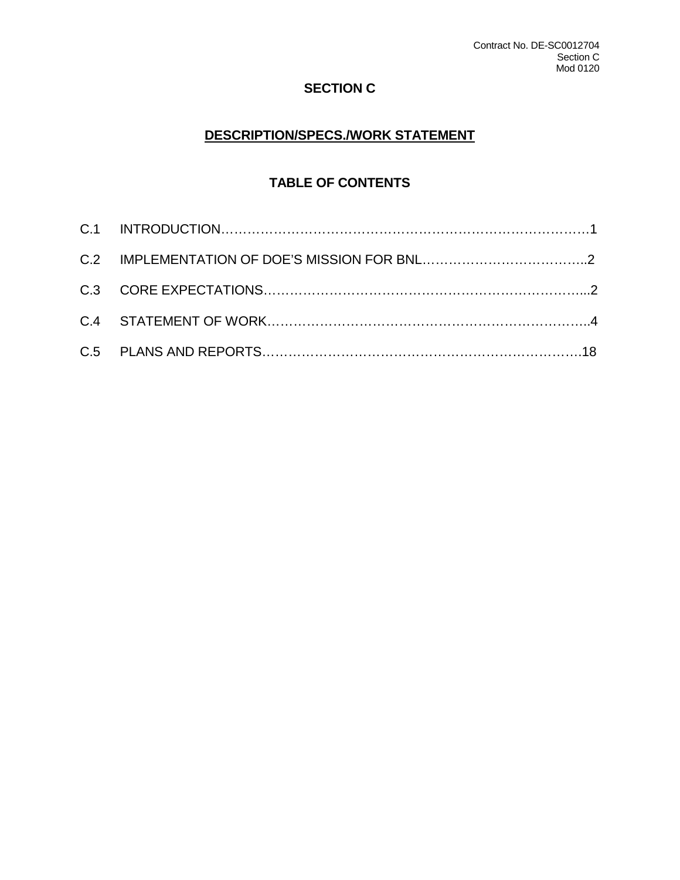## **SECTION C**

# **DESCRIPTION/SPECS./WORK STATEMENT**

# **TABLE OF CONTENTS**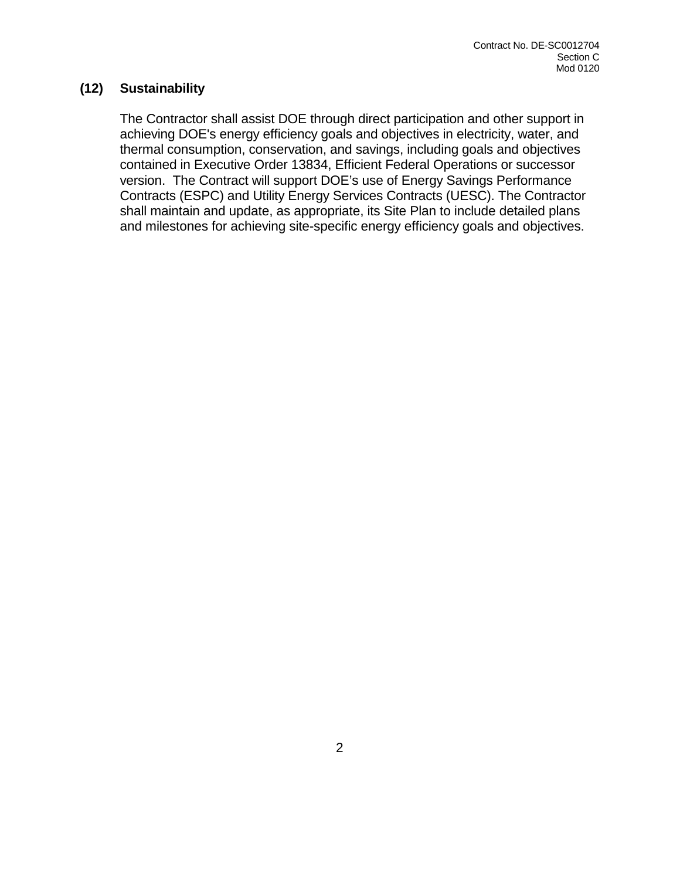#### **(12) Sustainability**

The Contractor shall assist DOE through direct participation and other support in achieving DOE's energy efficiency goals and objectives in electricity, water, and thermal consumption, conservation, and savings, including goals and objectives contained in Executive Order 13834, Efficient Federal Operations or successor version. The Contract will support DOE's use of Energy Savings Performance Contracts (ESPC) and Utility Energy Services Contracts (UESC). The Contractor shall maintain and update, as appropriate, its Site Plan to include detailed plans and milestones for achieving site-specific energy efficiency goals and objectives.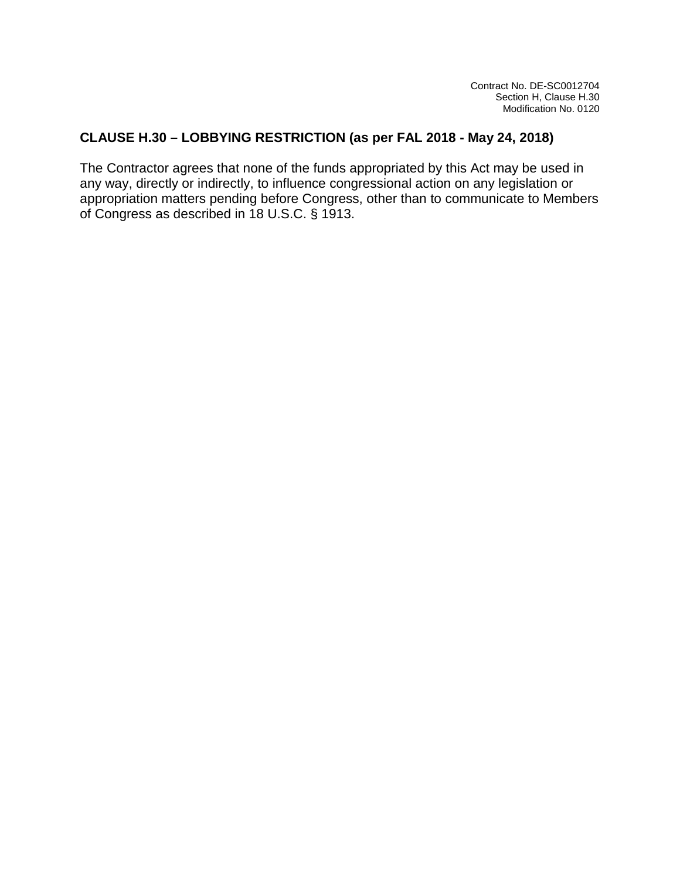### **CLAUSE H.30 – LOBBYING RESTRICTION (as per FAL 2018 - May 24, 2018)**

The Contractor agrees that none of the funds appropriated by this Act may be used in any way, directly or indirectly, to influence congressional action on any legislation or appropriation matters pending before Congress, other than to communicate to Members of Congress as described in 18 U.S.C. § 1913.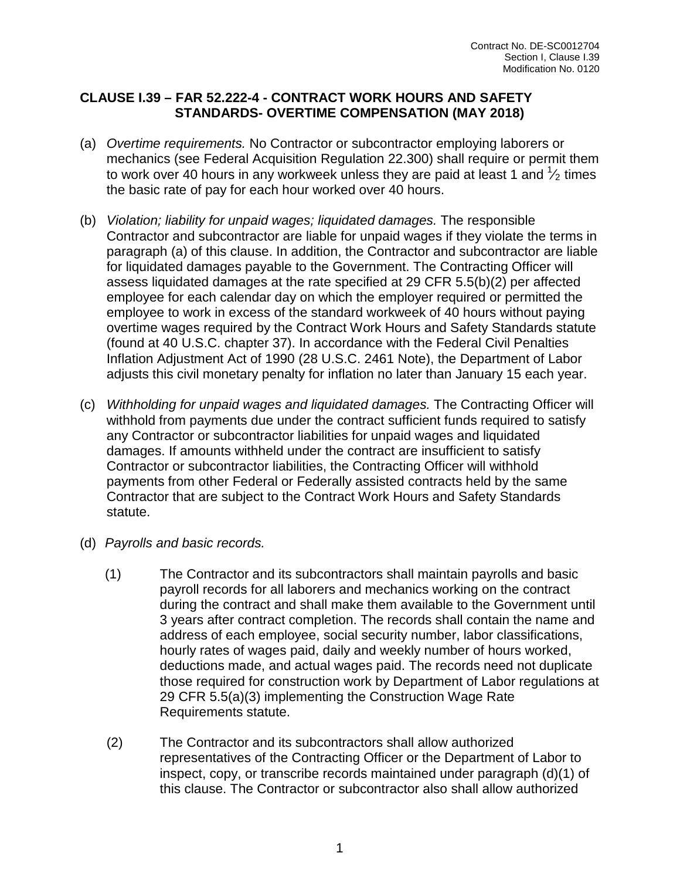### **CLAUSE I.39 – FAR 52.222-4 - CONTRACT WORK HOURS AND SAFETY STANDARDS- OVERTIME COMPENSATION (MAY 2018)**

- (a) *Overtime requirements.* No Contractor or subcontractor employing laborers or mechanics (see Federal Acquisition Regulation 22.300) shall require or permit them to work over 40 hours in any workweek unless they are paid at least 1 and  $\frac{1}{2}$  times the basic rate of pay for each hour worked over 40 hours.
- (b) *Violation; liability for unpaid wages; liquidated damages.* The responsible Contractor and subcontractor are liable for unpaid wages if they violate the terms in paragraph (a) of this clause. In addition, the Contractor and subcontractor are liable for liquidated damages payable to the Government. The Contracting Officer will assess liquidated damages at the rate specified at 29 CFR 5.5(b)(2) per affected employee for each calendar day on which the employer required or permitted the employee to work in excess of the standard workweek of 40 hours without paying overtime wages required by the Contract Work Hours and Safety Standards statute (found at 40 U.S.C. chapter 37). In accordance with the Federal Civil Penalties Inflation Adjustment Act of 1990 (28 U.S.C. 2461 Note), the Department of Labor adjusts this civil monetary penalty for inflation no later than January 15 each year.
- (c) *Withholding for unpaid wages and liquidated damages.* The Contracting Officer will withhold from payments due under the contract sufficient funds required to satisfy any Contractor or subcontractor liabilities for unpaid wages and liquidated damages. If amounts withheld under the contract are insufficient to satisfy Contractor or subcontractor liabilities, the Contracting Officer will withhold payments from other Federal or Federally assisted contracts held by the same Contractor that are subject to the Contract Work Hours and Safety Standards statute.
- (d) *Payrolls and basic records.*
	- (1) The Contractor and its subcontractors shall maintain payrolls and basic payroll records for all laborers and mechanics working on the contract during the contract and shall make them available to the Government until 3 years after contract completion. The records shall contain the name and address of each employee, social security number, labor classifications, hourly rates of wages paid, daily and weekly number of hours worked, deductions made, and actual wages paid. The records need not duplicate those required for construction work by Department of Labor regulations at 29 CFR 5.5(a)(3) implementing the Construction Wage Rate Requirements statute.
	- (2) The Contractor and its subcontractors shall allow authorized representatives of the Contracting Officer or the Department of Labor to inspect, copy, or transcribe records maintained under paragraph (d)(1) of this clause. The Contractor or subcontractor also shall allow authorized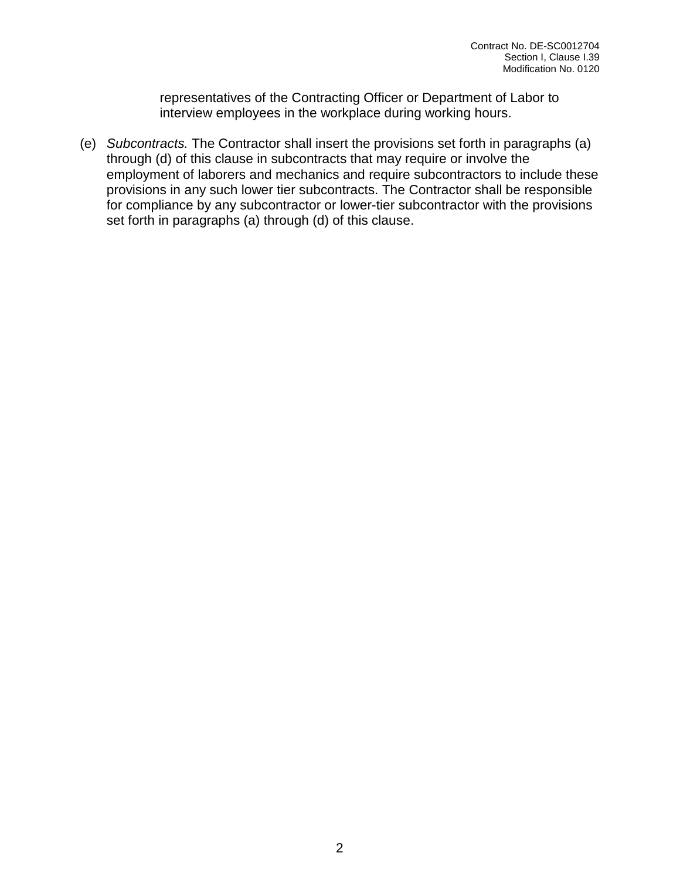representatives of the Contracting Officer or Department of Labor to interview employees in the workplace during working hours.

(e) *Subcontracts.* The Contractor shall insert the provisions set forth in paragraphs (a) through (d) of this clause in subcontracts that may require or involve the employment of laborers and mechanics and require subcontractors to include these provisions in any such lower tier subcontracts. The Contractor shall be responsible for compliance by any subcontractor or lower-tier subcontractor with the provisions set forth in paragraphs (a) through (d) of this clause.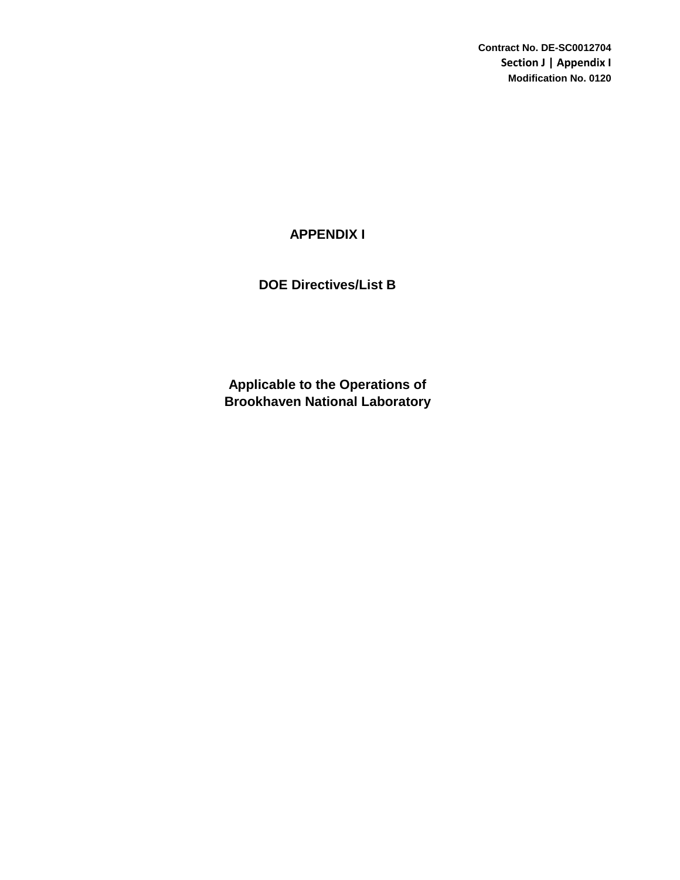**Contract No. DE-SC0012704 Section J | Appendix I Modification No. 0120**

### **APPENDIX I**

### **DOE Directives/List B**

**Brookhaven National Laboratory Applicable to the Operations of**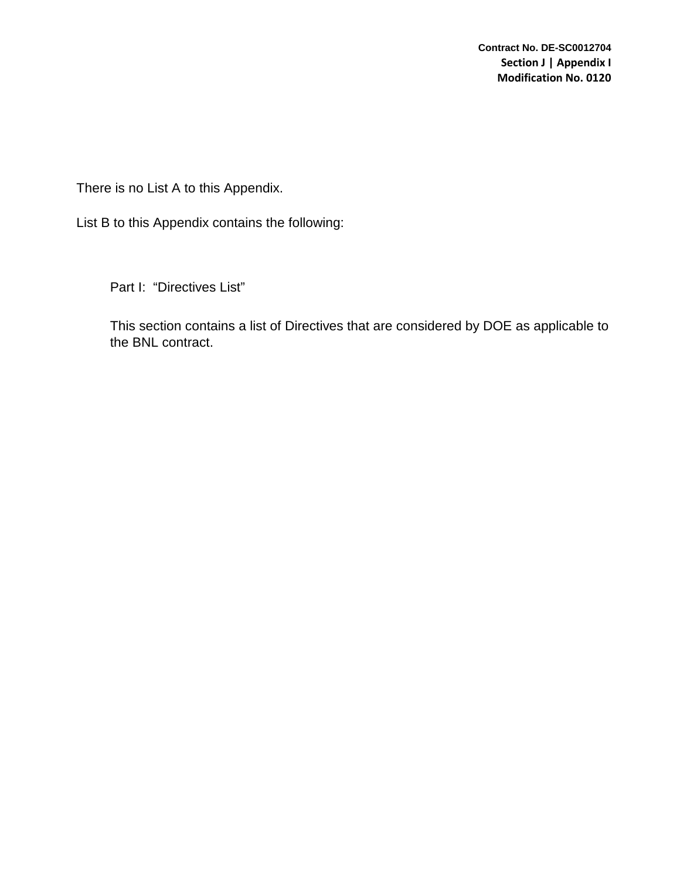**Contract No. DE-SC0012704 Section J | Appendix I Modification No. 0120**

There is no List A to this Appendix.

List B to this Appendix contains the following:

Part I: "Directives List"

This section contains a list of Directives that are considered by DOE as applicable to the BNL contract.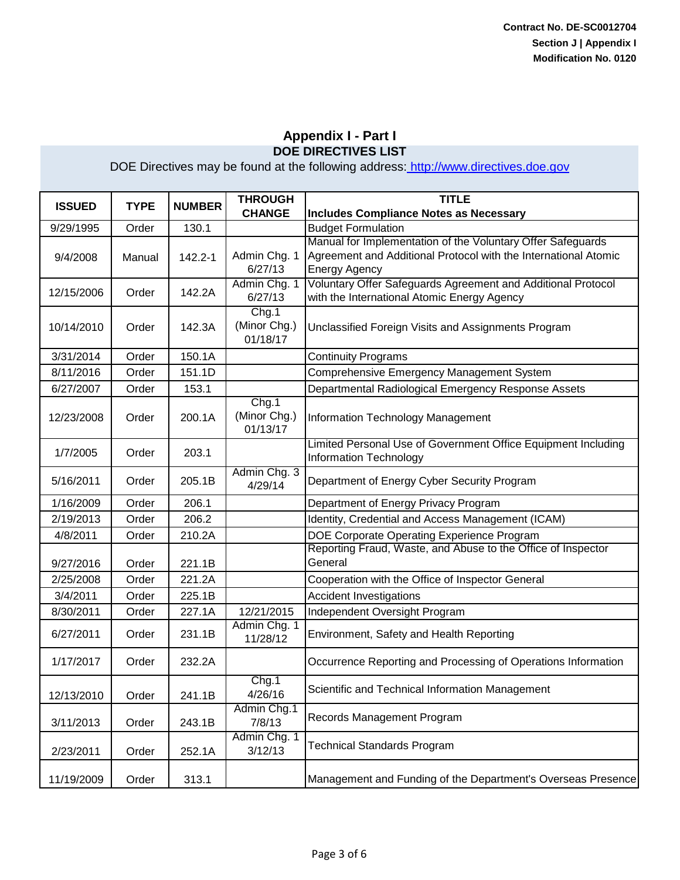| <b>ISSUED</b> | <b>TYPE</b> | <b>NUMBER</b> | <b>THROUGH</b>          | <b>TITLE</b>                                                                                                                   |
|---------------|-------------|---------------|-------------------------|--------------------------------------------------------------------------------------------------------------------------------|
|               |             |               | <b>CHANGE</b>           | <b>Includes Compliance Notes as Necessary</b>                                                                                  |
| 9/29/1995     | Order       | 130.1         |                         | <b>Budget Formulation</b>                                                                                                      |
|               |             |               |                         | Manual for Implementation of the Voluntary Offer Safeguards<br>Agreement and Additional Protocol with the International Atomic |
| 9/4/2008      | Manual      | $142.2 - 1$   | Admin Chg. 1<br>6/27/13 |                                                                                                                                |
|               |             |               | Admin Chg. 1            | <b>Energy Agency</b><br>Voluntary Offer Safeguards Agreement and Additional Protocol                                           |
| 12/15/2006    | Order       | 142.2A        | 6/27/13                 | with the International Atomic Energy Agency                                                                                    |
|               |             |               | Chg.1                   |                                                                                                                                |
| 10/14/2010    | Order       | 142.3A        | (Minor Chg.)            |                                                                                                                                |
|               |             |               | 01/18/17                | Unclassified Foreign Visits and Assignments Program                                                                            |
| 3/31/2014     | Order       | 150.1A        |                         | <b>Continuity Programs</b>                                                                                                     |
| 8/11/2016     | Order       | 151.1D        |                         | Comprehensive Emergency Management System                                                                                      |
| 6/27/2007     | Order       | 153.1         |                         | Departmental Radiological Emergency Response Assets                                                                            |
|               |             |               | Chg.1                   |                                                                                                                                |
| 12/23/2008    | Order       | 200.1A        | (Minor Chg.)            | Information Technology Management                                                                                              |
|               |             |               | 01/13/17                |                                                                                                                                |
|               |             |               |                         | Limited Personal Use of Government Office Equipment Including                                                                  |
| 1/7/2005      | Order       | 203.1         |                         | Information Technology                                                                                                         |
|               |             |               | Admin Chg. 3            |                                                                                                                                |
| 5/16/2011     | Order       | 205.1B        | 4/29/14                 | Department of Energy Cyber Security Program                                                                                    |
| 1/16/2009     | Order       | 206.1         |                         | Department of Energy Privacy Program                                                                                           |
| 2/19/2013     | Order       | 206.2         |                         | Identity, Credential and Access Management (ICAM)                                                                              |
| 4/8/2011      | Order       | 210.2A        |                         | DOE Corporate Operating Experience Program                                                                                     |
|               |             |               |                         | Reporting Fraud, Waste, and Abuse to the Office of Inspector                                                                   |
| 9/27/2016     | Order       | 221.1B        |                         | General                                                                                                                        |
| 2/25/2008     | Order       | 221.2A        |                         | Cooperation with the Office of Inspector General                                                                               |
| 3/4/2011      | Order       | 225.1B        |                         | <b>Accident Investigations</b>                                                                                                 |
| 8/30/2011     | Order       | 227.1A        | 12/21/2015              | Independent Oversight Program                                                                                                  |
|               |             |               | Admin Chg. 1            |                                                                                                                                |
| 6/27/2011     | Order       | 231.1B        | 11/28/12                | Environment, Safety and Health Reporting                                                                                       |
| 1/17/2017     | Order       | 232.2A        |                         | Occurrence Reporting and Processing of Operations Information                                                                  |
|               |             |               |                         |                                                                                                                                |
|               |             |               | Chg.1                   | Scientific and Technical Information Management                                                                                |
| 12/13/2010    | Order       | 241.1B        | 4/26/16                 |                                                                                                                                |
| 3/11/2013     | Order       | 243.1B        | Admin Chg.1<br>7/8/13   | Records Management Program                                                                                                     |
|               |             |               | Admin Chg. 1            |                                                                                                                                |
| 2/23/2011     | Order       | 252.1A        | 3/12/13                 | <b>Technical Standards Program</b>                                                                                             |
|               |             |               |                         |                                                                                                                                |
| 11/19/2009    | Order       | 313.1         |                         | Management and Funding of the Department's Overseas Presence                                                                   |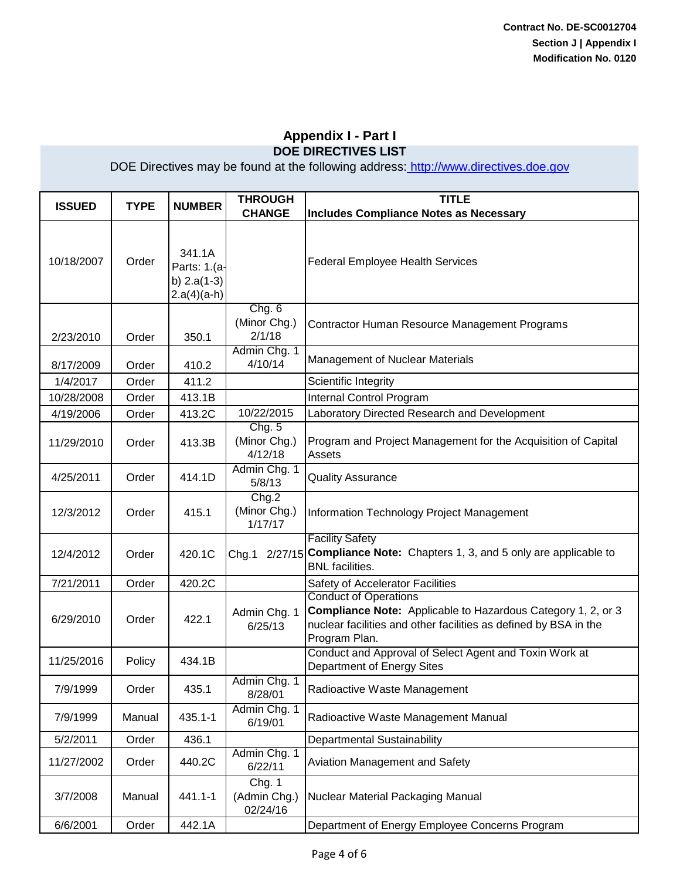|               |             |                                                          |                                    | <b>TITLE</b>                                                                                                                                                                             |
|---------------|-------------|----------------------------------------------------------|------------------------------------|------------------------------------------------------------------------------------------------------------------------------------------------------------------------------------------|
| <b>ISSUED</b> | <b>TYPE</b> | <b>NUMBER</b>                                            | <b>THROUGH</b><br><b>CHANGE</b>    | <b>Includes Compliance Notes as Necessary</b>                                                                                                                                            |
| 10/18/2007    | Order       | 341.1A<br>Parts: 1.(a-<br>b) $2.a(1-3)$<br>$2.a(4)(a-h)$ |                                    | <b>Federal Employee Health Services</b>                                                                                                                                                  |
| 2/23/2010     | Order       | 350.1                                                    | Chg. 6<br>(Minor Chg.)<br>2/1/18   | Contractor Human Resource Management Programs                                                                                                                                            |
| 8/17/2009     | Order       | 410.2                                                    | Admin Chg. 1<br>4/10/14            | <b>Management of Nuclear Materials</b>                                                                                                                                                   |
| 1/4/2017      | Order       | 411.2                                                    |                                    | Scientific Integrity                                                                                                                                                                     |
| 10/28/2008    | Order       | 413.1B                                                   |                                    | Internal Control Program                                                                                                                                                                 |
| 4/19/2006     | Order       | 413.2C                                                   | 10/22/2015                         | Laboratory Directed Research and Development                                                                                                                                             |
| 11/29/2010    | Order       | 413.3B                                                   | Chg. 5<br>(Minor Chg.)<br>4/12/18  | Program and Project Management for the Acquisition of Capital<br><b>Assets</b>                                                                                                           |
| 4/25/2011     | Order       | 414.1D                                                   | Admin Chg. 1<br>5/8/13             | <b>Quality Assurance</b>                                                                                                                                                                 |
| 12/3/2012     | Order       | 415.1                                                    | Chg.2<br>(Minor Chg.)<br>1/17/17   | Information Technology Project Management                                                                                                                                                |
| 12/4/2012     | Order       | 420.1C                                                   | Chg.1                              | <b>Facility Safety</b><br>2/27/15 Compliance Note: Chapters 1, 3, and 5 only are applicable to<br><b>BNL</b> facilities.                                                                 |
| 7/21/2011     | Order       | 420.2C                                                   |                                    | Safety of Accelerator Facilities                                                                                                                                                         |
| 6/29/2010     | Order       | 422.1                                                    | Admin Chg. 1<br>6/25/13            | <b>Conduct of Operations</b><br><b>Compliance Note:</b> Applicable to Hazardous Category 1, 2, or 3<br>nuclear facilities and other facilities as defined by BSA in the<br>Program Plan. |
| 11/25/2016    | Policy      | 434.1B                                                   |                                    | Conduct and Approval of Select Agent and Toxin Work at<br>Department of Energy Sites                                                                                                     |
| 7/9/1999      | Order       | 435.1                                                    | Admin Chg. 1<br>8/28/01            | Radioactive Waste Management                                                                                                                                                             |
| 7/9/1999      | Manual      | 435.1-1                                                  | Admin Chg. 1<br>6/19/01            | Radioactive Waste Management Manual                                                                                                                                                      |
| 5/2/2011      | Order       | 436.1                                                    |                                    | Departmental Sustainability                                                                                                                                                              |
| 11/27/2002    | Order       | 440.2C                                                   | Admin Chg. 1<br>6/22/11            | Aviation Management and Safety                                                                                                                                                           |
| 3/7/2008      | Manual      | 441.1-1                                                  | Chg. 1<br>(Admin Chg.)<br>02/24/16 | Nuclear Material Packaging Manual                                                                                                                                                        |
| 6/6/2001      | Order       | 442.1A                                                   |                                    | Department of Energy Employee Concerns Program                                                                                                                                           |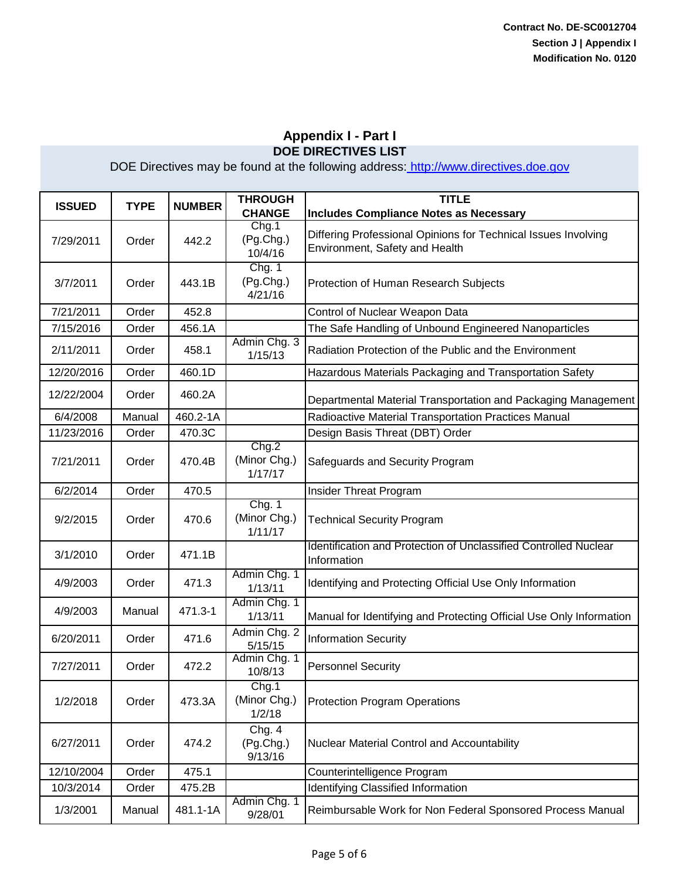| <b>ISSUED</b> | <b>TYPE</b> | <b>NUMBER</b> | <b>THROUGH</b>                    | <b>TITLE</b>                                                                                     |
|---------------|-------------|---------------|-----------------------------------|--------------------------------------------------------------------------------------------------|
|               |             |               | <b>CHANGE</b><br>Chg.1            | <b>Includes Compliance Notes as Necessary</b>                                                    |
| 7/29/2011     | Order       | 442.2         | (Pg.Chg.)<br>10/4/16              | Differing Professional Opinions for Technical Issues Involving<br>Environment, Safety and Health |
| 3/7/2011      | Order       | 443.1B        | Chg. 1<br>(Pg.Chg.)<br>4/21/16    | Protection of Human Research Subjects                                                            |
| 7/21/2011     | Order       | 452.8         |                                   | Control of Nuclear Weapon Data                                                                   |
| 7/15/2016     | Order       | 456.1A        |                                   | The Safe Handling of Unbound Engineered Nanoparticles                                            |
| 2/11/2011     | Order       | 458.1         | Admin Chg. 3<br>1/15/13           | Radiation Protection of the Public and the Environment                                           |
| 12/20/2016    | Order       | 460.1D        |                                   | Hazardous Materials Packaging and Transportation Safety                                          |
| 12/22/2004    | Order       | 460.2A        |                                   | Departmental Material Transportation and Packaging Management                                    |
| 6/4/2008      | Manual      | 460.2-1A      |                                   | Radioactive Material Transportation Practices Manual                                             |
| 11/23/2016    | Order       | 470.3C        |                                   | Design Basis Threat (DBT) Order                                                                  |
| 7/21/2011     | Order       | 470.4B        | Chg.2<br>(Minor Chg.)<br>1/17/17  | Safeguards and Security Program                                                                  |
| 6/2/2014      | Order       | 470.5         |                                   | Insider Threat Program                                                                           |
| 9/2/2015      | Order       | 470.6         | Chg. 1<br>(Minor Chg.)<br>1/11/17 | <b>Technical Security Program</b>                                                                |
| 3/1/2010      | Order       | 471.1B        |                                   | Identification and Protection of Unclassified Controlled Nuclear<br>Information                  |
| 4/9/2003      | Order       | 471.3         | Admin Chg. 1<br>1/13/11           | Identifying and Protecting Official Use Only Information                                         |
| 4/9/2003      | Manual      | 471.3-1       | Admin Chg. 1<br>1/13/11           | Manual for Identifying and Protecting Official Use Only Information                              |
| 6/20/2011     | Order       | 471.6         | Admin Chg. 2<br>5/15/15           | <b>Information Security</b>                                                                      |
| 7/27/2011     | Order       | 472.2         | Admin Chg. 1<br>10/8/13           | <b>Personnel Security</b>                                                                        |
| 1/2/2018      | Order       | 473.3A        | Chg.1<br>(Minor Chg.)<br>1/2/18   | <b>Protection Program Operations</b>                                                             |
| 6/27/2011     | Order       | 474.2         | Chg. 4<br>(Pg.Chg.)<br>9/13/16    | Nuclear Material Control and Accountability                                                      |
| 12/10/2004    | Order       | 475.1         |                                   | Counterintelligence Program                                                                      |
| 10/3/2014     | Order       | 475.2B        |                                   | Identifying Classified Information                                                               |
| 1/3/2001      | Manual      | 481.1-1A      | Admin Chg. 1<br>9/28/01           | Reimbursable Work for Non Federal Sponsored Process Manual                                       |